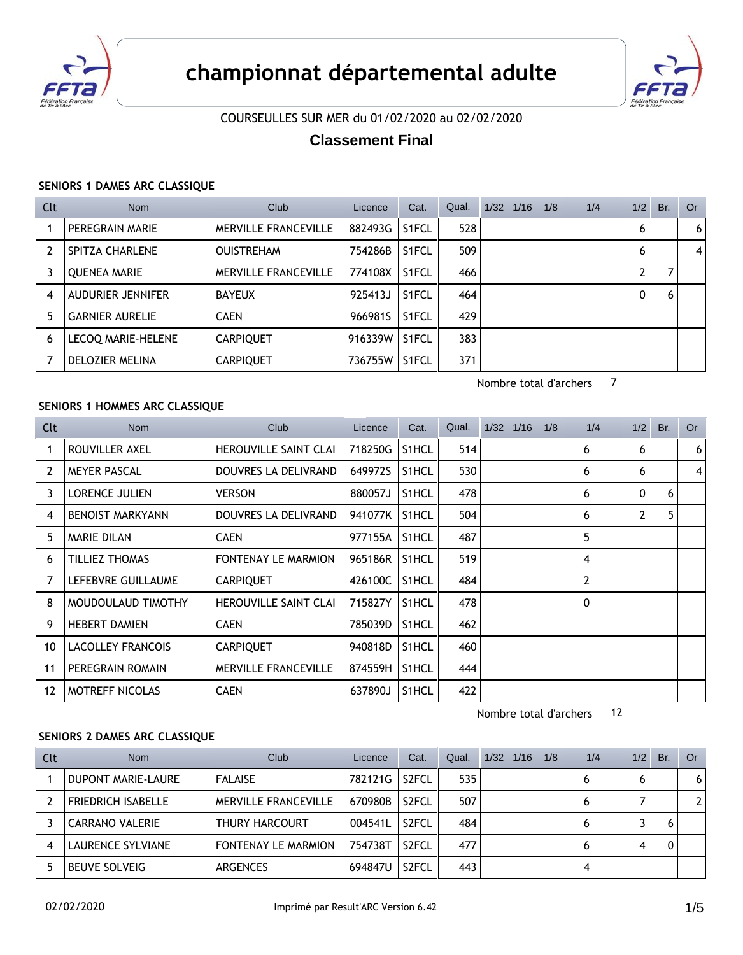



# COURSEULLES SUR MER du 01/02/2020 au 02/02/2020

# **Classement Final**

#### **SENIORS 1 DAMES ARC CLASSIQUE**

| Clt | <b>Nom</b>             | Club                        | Licence | Cat.               | Qual. | $1/32$ $1/16$ | 1/8 | 1/4 | 1/2          | Br. | Or. |
|-----|------------------------|-----------------------------|---------|--------------------|-------|---------------|-----|-----|--------------|-----|-----|
|     | PEREGRAIN MARIE        | <b>MERVILLE FRANCEVILLE</b> | 882493G | S1FCL              | 528   |               |     |     | 6            |     | 6   |
| 2   | SPITZA CHARLENE        | <b>OUISTREHAM</b>           | 754286B | S1FCL              | 509   |               |     |     | 6            |     | 4   |
| 3   | <b>QUENEA MARIE</b>    | <b>MERVILLE FRANCEVILLE</b> | 774108X | S <sub>1</sub> FCL | 466   |               |     |     |              |     |     |
| 4   | AUDURIER JENNIFER      | <b>BAYEUX</b>               | 925413J | S <sub>1</sub> FCL | 464   |               |     |     | $\mathbf{0}$ | 6   |     |
| 5   | <b>GARNIER AURELIE</b> | <b>CAEN</b>                 | 966981S | S <sub>1</sub> FCL | 429   |               |     |     |              |     |     |
| 6   | LECOQ MARIE-HELENE     | <b>CARPIQUET</b>            | 916339W | S <sub>1</sub> FCL | 383   |               |     |     |              |     |     |
|     | DELOZIER MELINA        | <b>CARPIQUET</b>            | 736755W | S <sub>1</sub> FCL | 371   |               |     |     |              |     |     |

Nombre total d'archers 7

# **SENIORS 1 HOMMES ARC CLASSIQUE**

| Clt            | <b>Nom</b>               | Club                         | Licence | Cat.               | Qual. | 1/32 | 1/16 | 1/8 | 1/4            | 1/2 | Br. | <b>Or</b>      |
|----------------|--------------------------|------------------------------|---------|--------------------|-------|------|------|-----|----------------|-----|-----|----------------|
| 1              | ROUVILLER AXEL           | HEROUVILLE SAINT CLAI        | 718250G | S1HCL              | 514   |      |      |     | 6              | 6   |     | 6 <sup>1</sup> |
| $\overline{2}$ | <b>MEYER PASCAL</b>      | DOUVRES LA DELIVRAND         | 649972S | S1HCL              | 530   |      |      |     | 6              | 6   |     | $\vert$        |
| 3              | <b>LORENCE JULIEN</b>    | <b>VERSON</b>                | 880057J | S1HCL              | 478   |      |      |     | 6              | 0   | 6   |                |
| 4              | <b>BENOIST MARKYANN</b>  | DOUVRES LA DELIVRAND         | 941077K | S1HCL              | 504   |      |      |     | 6              | 2   | 5   |                |
| 5              | <b>MARIE DILAN</b>       | <b>CAEN</b>                  | 977155A | S1HCL              | 487   |      |      |     | 5              |     |     |                |
| 6              | TILLIEZ THOMAS           | <b>FONTENAY LE MARMION</b>   | 965186R | S <sub>1</sub> HCL | 519   |      |      |     | 4              |     |     |                |
| 7              | LEFEBVRE GUILLAUME       | <b>CARPIQUET</b>             | 426100C | S1HCL              | 484   |      |      |     | $\overline{2}$ |     |     |                |
| 8              | MOUDOULAUD TIMOTHY       | <b>HEROUVILLE SAINT CLAI</b> | 715827Y | S1HCL              | 478   |      |      |     | 0              |     |     |                |
| 9              | <b>HEBERT DAMIEN</b>     | <b>CAEN</b>                  | 785039D | S1HCL              | 462   |      |      |     |                |     |     |                |
| 10             | <b>LACOLLEY FRANCOIS</b> | <b>CARPIQUET</b>             | 940818D | S1HCL              | 460   |      |      |     |                |     |     |                |
| 11             | PEREGRAIN ROMAIN         | MERVILLE FRANCEVILLE         | 874559H | S1HCL              | 444   |      |      |     |                |     |     |                |
| 12             | <b>MOTREFF NICOLAS</b>   | <b>CAEN</b>                  | 637890J | S1HCL              | 422   |      |      |     |                |     |     |                |

Nombre total d'archers 12

#### **SENIORS 2 DAMES ARC CLASSIQUE**

| Clt | <b>Nom</b>                | Club                        | Licence | Cat.               | Qual. | 1/32 | 1/16 | 1/8 | 1/4 | 1/2 | Br. | Or             |
|-----|---------------------------|-----------------------------|---------|--------------------|-------|------|------|-----|-----|-----|-----|----------------|
|     | DUPONT MARIE-LAURE        | <b>FALAISE</b>              | 782121G | S <sub>2</sub> FCL | 535   |      |      |     | 6   | 6   |     | 6              |
|     | <b>FRIEDRICH ISABELLE</b> | <b>MERVILLE FRANCEVILLE</b> | 670980B | S <sub>2</sub> FCL | 507   |      |      |     | 6   |     |     | $\overline{2}$ |
|     | <b>CARRANO VALERIE</b>    | <b>THURY HARCOURT</b>       | 004541L | S <sub>2</sub> FCL | 484   |      |      |     | 6   |     |     |                |
| 4   | LAURENCE SYLVIANE         | <b>FONTENAY LE MARMION</b>  | 754738T | S <sub>2</sub> FCL | 477   |      |      |     | 6   | 4   |     |                |
|     | <b>BEUVE SOLVEIG</b>      | <b>ARGENCES</b>             | 694847U | S <sub>2</sub> FCL | 443   |      |      |     | 4   |     |     |                |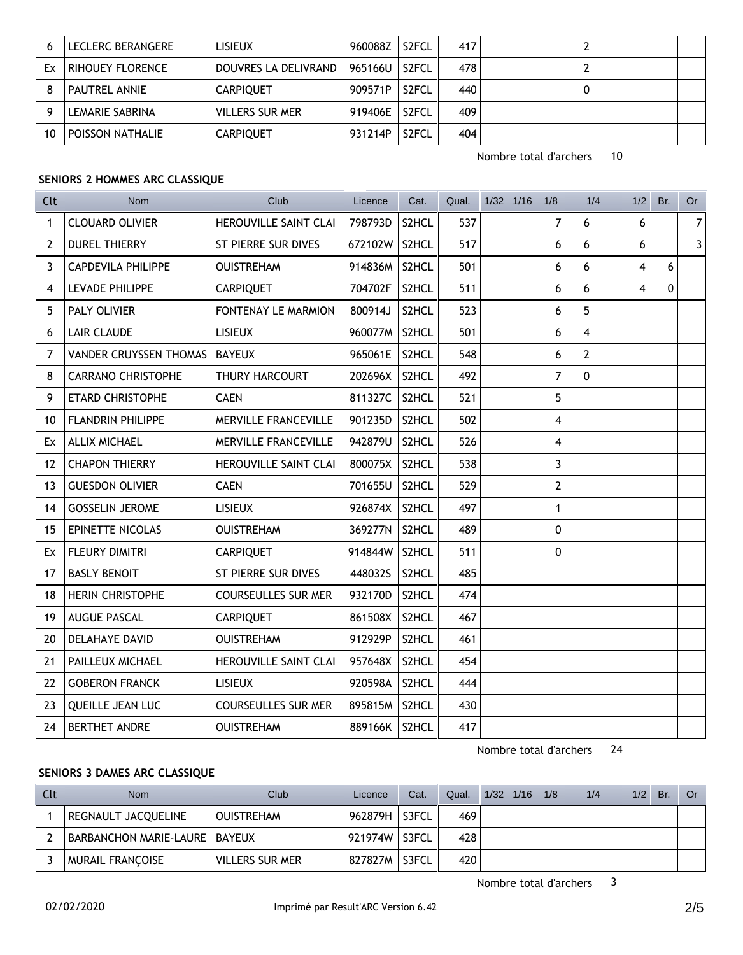|    | LECLERC BERANGERE    | <b>LISIEUX</b>         | 960088Z | S <sub>2</sub> FCL | 417 |  |  |  |  |
|----|----------------------|------------------------|---------|--------------------|-----|--|--|--|--|
| Ex | RIHOUEY FLORENCE     | DOUVRES LA DELIVRAND   | 965166U | S <sub>2</sub> FCL | 478 |  |  |  |  |
|    | <b>PAUTREL ANNIE</b> | <b>CARPIQUET</b>       | 909571P | S <sub>2</sub> FCL | 440 |  |  |  |  |
|    | LEMARIE SABRINA      | <b>VILLERS SUR MER</b> | 919406E | S <sub>2</sub> FCL | 409 |  |  |  |  |
| 10 | POISSON NATHALIE     | <b>CARPIQUET</b>       | 931214P | S <sub>2</sub> FCL | 404 |  |  |  |  |

Nombre total d'archers 10

## **SENIORS 2 HOMMES ARC CLASSIQUE**

| <b>Clt</b>     | <b>Nom</b>                    | Club                        | Licence       | Cat.  | Qual. | $1/32$ $1/16$ | 1/8                     | 1/4            | 1/2 | Br.      | <b>Or</b>      |
|----------------|-------------------------------|-----------------------------|---------------|-------|-------|---------------|-------------------------|----------------|-----|----------|----------------|
| $\mathbf{1}$   | <b>CLOUARD OLIVIER</b>        | HEROUVILLE SAINT CLAI       | 798793D       | S2HCL | 537   |               | $\overline{7}$          | 6              | 6   |          | 7 <sup>1</sup> |
| $\overline{2}$ | <b>DUREL THIERRY</b>          | ST PIERRE SUR DIVES         | 672102W S2HCL |       | 517   |               | 6                       | 6              | 6   |          | 3 <sup>1</sup> |
| 3              | <b>CAPDEVILA PHILIPPE</b>     | <b>OUISTREHAM</b>           | 914836M S2HCL |       | 501   |               | 6                       | 6              | 4   | 6        |                |
| 4              | <b>LEVADE PHILIPPE</b>        | <b>CARPIQUET</b>            | 704702F       | S2HCL | 511   |               | 6                       | 6              | 4   | $\Omega$ |                |
| 5              | PALY OLIVIER                  | FONTENAY LE MARMION         | 800914J       | S2HCL | 523   |               | 6                       | 5              |     |          |                |
| 6              | <b>LAIR CLAUDE</b>            | <b>LISIEUX</b>              | 960077M S2HCL |       | 501   |               | 6                       | 4              |     |          |                |
| 7              | <b>VANDER CRUYSSEN THOMAS</b> | <b>BAYEUX</b>               | 965061E       | S2HCL | 548   |               | 6                       | $\overline{2}$ |     |          |                |
| 8              | <b>CARRANO CHRISTOPHE</b>     | THURY HARCOURT              | 202696X       | S2HCL | 492   |               | $\overline{7}$          | $\mathbf{0}$   |     |          |                |
| 9              | <b>ETARD CHRISTOPHE</b>       | <b>CAEN</b>                 | 811327C       | S2HCL | 521   |               | 5                       |                |     |          |                |
| 10             | <b>FLANDRIN PHILIPPE</b>      | <b>MERVILLE FRANCEVILLE</b> | 901235D       | S2HCL | 502   |               | 4                       |                |     |          |                |
| Ex             | <b>ALLIX MICHAEL</b>          | MERVILLE FRANCEVILLE        | 942879U       | S2HCL | 526   |               | $\overline{\mathbf{4}}$ |                |     |          |                |
| 12             | <b>CHAPON THIERRY</b>         | HEROUVILLE SAINT CLAI       | 800075X       | S2HCL | 538   |               | 3                       |                |     |          |                |
| 13             | <b>GUESDON OLIVIER</b>        | <b>CAEN</b>                 | 701655U       | S2HCL | 529   |               | $\overline{2}$          |                |     |          |                |
| 14             | <b>GOSSELIN JEROME</b>        | <b>LISIEUX</b>              | 926874X       | S2HCL | 497   |               | $\mathbf{1}$            |                |     |          |                |
| 15             | EPINETTE NICOLAS              | <b>OUISTREHAM</b>           | 369277N       | S2HCL | 489   |               | $\pmb{0}$               |                |     |          |                |
| Ex             | <b>FLEURY DIMITRI</b>         | <b>CARPIQUET</b>            | 914844W       | S2HCL | 511   |               | $\mathbf 0$             |                |     |          |                |
| 17             | <b>BASLY BENOIT</b>           | ST PIERRE SUR DIVES         | 448032S       | S2HCL | 485   |               |                         |                |     |          |                |
| 18             | <b>HERIN CHRISTOPHE</b>       | <b>COURSEULLES SUR MER</b>  | 932170D       | S2HCL | 474   |               |                         |                |     |          |                |
| 19             | <b>AUGUE PASCAL</b>           | <b>CARPIQUET</b>            | 861508X       | S2HCL | 467   |               |                         |                |     |          |                |
| 20             | <b>DELAHAYE DAVID</b>         | <b>OUISTREHAM</b>           | 912929P       | S2HCL | 461   |               |                         |                |     |          |                |
| 21             | PAILLEUX MICHAEL              | HEROUVILLE SAINT CLAI       | 957648X       | S2HCL | 454   |               |                         |                |     |          |                |
| 22             | <b>GOBERON FRANCK</b>         | <b>LISIEUX</b>              | 920598A       | S2HCL | 444   |               |                         |                |     |          |                |
| 23             | <b>QUEILLE JEAN LUC</b>       | <b>COURSEULLES SUR MER</b>  | 895815M S2HCL |       | 430   |               |                         |                |     |          |                |
| 24             | <b>BERTHET ANDRE</b>          | <b>OUISTREHAM</b>           | 889166K       | S2HCL | 417   |               |                         |                |     |          |                |

Nombre total d'archers 24

#### **SENIORS 3 DAMES ARC CLASSIQUE**

| Clt | <b>Nom</b>                    | Club                   | Licence | Cat.  | Qual. | $1/32$ $1/16$ | 1/8 | 1/4 | 1/2 | Br. | Or |
|-----|-------------------------------|------------------------|---------|-------|-------|---------------|-----|-----|-----|-----|----|
|     | REGNAULT JACQUELINE           | <b>OUISTREHAM</b>      | 962879H | S3FCL | 469   |               |     |     |     |     |    |
|     | BARBANCHON MARIE-LAURE BAYEUX |                        | 921974W | S3FCL | 428   |               |     |     |     |     |    |
|     | <b>MURAIL FRANCOISE</b>       | <b>VILLERS SUR MER</b> | 827827M | S3FCL | 420   |               |     |     |     |     |    |

Nombre total d'archers 3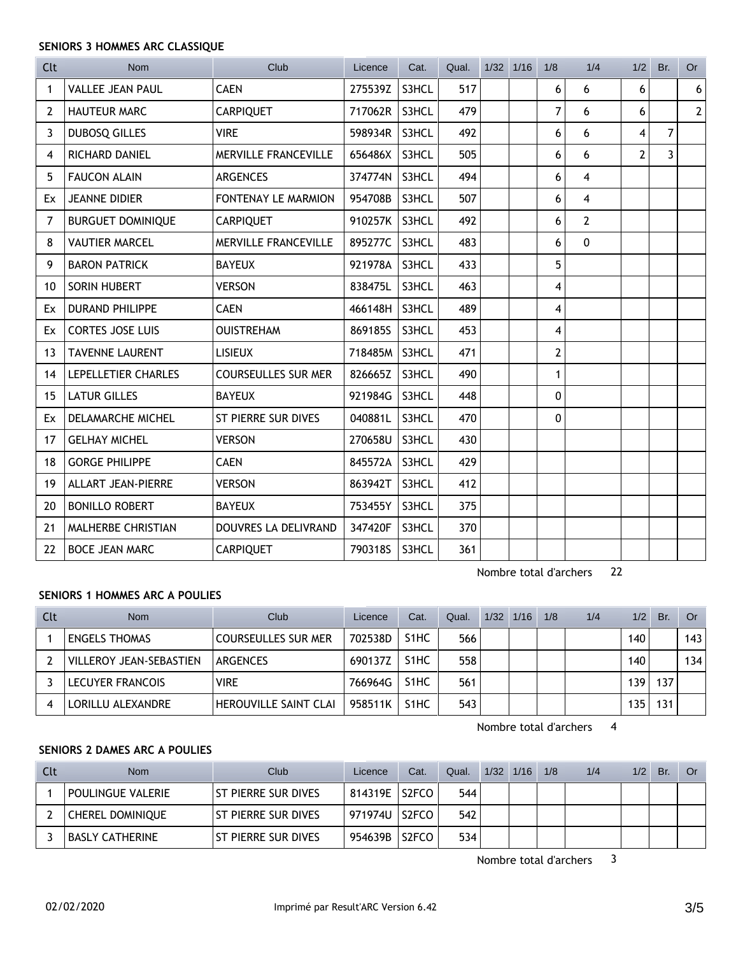## **SENIORS 3 HOMMES ARC CLASSIQUE**

| <b>Clt</b>     | <b>Nom</b>                | Club                        | Licence | Cat.  | Qual. | $1/32$ $1/16$ | 1/8                     | 1/4            | 1/2 | Br. | <b>Or</b>      |
|----------------|---------------------------|-----------------------------|---------|-------|-------|---------------|-------------------------|----------------|-----|-----|----------------|
| 1              | <b>VALLEE JEAN PAUL</b>   | <b>CAEN</b>                 | 275539Z | S3HCL | 517   |               | 6                       | 6              | 6   |     | 6 <sup>1</sup> |
| $\overline{2}$ | <b>HAUTEUR MARC</b>       | <b>CARPIQUET</b>            | 717062R | S3HCL | 479   |               | $\overline{7}$          | 6              | 6   |     | 2 <sup>1</sup> |
| 3              | <b>DUBOSQ GILLES</b>      | <b>VIRE</b>                 | 598934R | S3HCL | 492   |               | 6                       | 6              | 4   | 7   |                |
| 4              | <b>RICHARD DANIEL</b>     | <b>MERVILLE FRANCEVILLE</b> | 656486X | S3HCL | 505   |               | 6                       | 6              | 2   | 3   |                |
| 5              | <b>FAUCON ALAIN</b>       | <b>ARGENCES</b>             | 374774N | S3HCL | 494   |               | 6                       | 4              |     |     |                |
| Ex             | <b>JEANNE DIDIER</b>      | FONTENAY LE MARMION         | 954708B | S3HCL | 507   |               | 6                       | 4              |     |     |                |
| 7              | <b>BURGUET DOMINIQUE</b>  | <b>CARPIQUET</b>            | 910257K | S3HCL | 492   |               | 6                       | $\overline{2}$ |     |     |                |
| 8              | <b>VAUTIER MARCEL</b>     | <b>MERVILLE FRANCEVILLE</b> | 895277C | S3HCL | 483   |               | 6                       | $\mathbf 0$    |     |     |                |
| 9              | <b>BARON PATRICK</b>      | <b>BAYEUX</b>               | 921978A | S3HCL | 433   |               | 5                       |                |     |     |                |
| 10             | SORIN HUBERT              | <b>VERSON</b>               | 838475L | S3HCL | 463   |               | 4                       |                |     |     |                |
| Ex             | <b>DURAND PHILIPPE</b>    | <b>CAEN</b>                 | 466148H | S3HCL | 489   |               | 4                       |                |     |     |                |
| Ex             | <b>CORTES JOSE LUIS</b>   | <b>OUISTREHAM</b>           | 869185S | S3HCL | 453   |               | $\overline{\mathbf{4}}$ |                |     |     |                |
| 13             | <b>TAVENNE LAURENT</b>    | <b>LISIEUX</b>              | 718485M | S3HCL | 471   |               | $\overline{2}$          |                |     |     |                |
| 14             | LEPELLETIER CHARLES       | <b>COURSEULLES SUR MER</b>  | 826665Z | S3HCL | 490   |               | 1                       |                |     |     |                |
| 15             | <b>LATUR GILLES</b>       | <b>BAYEUX</b>               | 921984G | S3HCL | 448   |               | 0                       |                |     |     |                |
| Ex             | DELAMARCHE MICHEL         | <b>ST PIERRE SUR DIVES</b>  | 040881L | S3HCL | 470   |               | 0                       |                |     |     |                |
| 17             | <b>GELHAY MICHEL</b>      | <b>VERSON</b>               | 270658U | S3HCL | 430   |               |                         |                |     |     |                |
| 18             | <b>GORGE PHILIPPE</b>     | <b>CAEN</b>                 | 845572A | S3HCL | 429   |               |                         |                |     |     |                |
| 19             | <b>ALLART JEAN-PIERRE</b> | <b>VERSON</b>               | 863942T | S3HCL | 412   |               |                         |                |     |     |                |
| 20             | <b>BONILLO ROBERT</b>     | <b>BAYEUX</b>               | 753455Y | S3HCL | 375   |               |                         |                |     |     |                |
| 21             | MALHERBE CHRISTIAN        | DOUVRES LA DELIVRAND        | 347420F | S3HCL | 370   |               |                         |                |     |     |                |
| 22             | <b>BOCE JEAN MARC</b>     | <b>CARPIQUET</b>            | 790318S | S3HCL | 361   |               |                         |                |     |     |                |

Nombre total d'archers 22

### **SENIORS 1 HOMMES ARC A POULIES**

| Clt | <b>Nom</b>                     | Club                       | Licence | Cat.              | Qual. | $1/32$ $1/16$ | 1/8 | 1/4 | 1/2 | Br. | Or  |
|-----|--------------------------------|----------------------------|---------|-------------------|-------|---------------|-----|-----|-----|-----|-----|
|     | ENGELS THOMAS                  | <b>COURSEULLES SUR MER</b> | 702538D | S <sub>1</sub> HC | 566   |               |     |     | 140 |     | 143 |
|     | <b>VILLEROY JEAN-SEBASTIEN</b> | ARGENCES                   | 690137Z | S <sub>1</sub> HC | 558   |               |     |     | 140 |     | 134 |
|     | <b>LECUYER FRANCOIS</b>        | <b>VIRE</b>                | 766964G | S <sub>1</sub> HC | 561   |               |     |     | 139 | 137 |     |
|     | LORILLU ALEXANDRE              | HEROUVILLE SAINT CLAI      | 958511K | S <sub>1</sub> HC | 543   |               |     |     | 135 | 131 |     |

Nombre total d'archers 4

## **SENIORS 2 DAMES ARC A POULIES**

| Clt | Nom                     | Club                       | Licence       | Cat.  | Qual. | $1/32$ $1/16$ | 1/8 | 1/4 | 1/2 | Br. | Or |
|-----|-------------------------|----------------------------|---------------|-------|-------|---------------|-----|-----|-----|-----|----|
|     | POULINGUE VALERIE       | l St Pierre sur Dives      | 814319E S2FCO |       | 544   |               |     |     |     |     |    |
|     | <b>CHEREL DOMINIOUE</b> | <b>ST PIERRE SUR DIVES</b> | 971974U S2FCO |       | 542   |               |     |     |     |     |    |
|     | <b>BASLY CATHERINE</b>  | <b>ST PIERRE SUR DIVES</b> | 954639B       | S2FCO | 534   |               |     |     |     |     |    |

Nombre total d'archers 3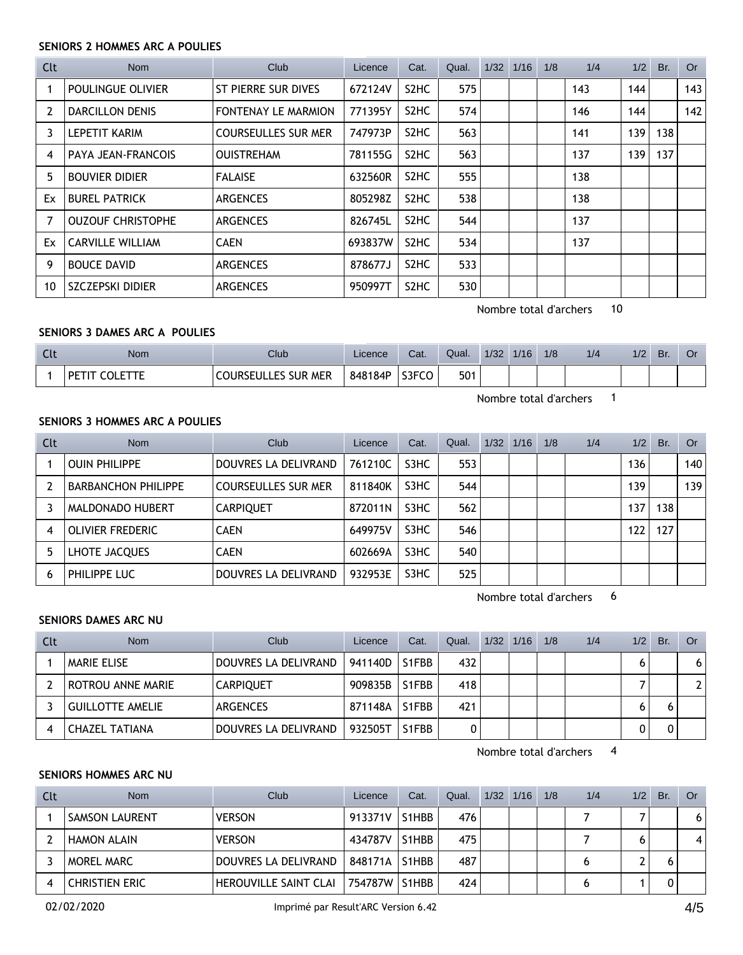## **SENIORS 2 HOMMES ARC A POULIES**

| Clt | Nom                      | Club                       | Licence | Cat.                          | Qual. | 1/32 | 1/16 | 1/8 | 1/4 | 1/2 | Br. | Or  |
|-----|--------------------------|----------------------------|---------|-------------------------------|-------|------|------|-----|-----|-----|-----|-----|
|     | POULINGUE OLIVIER        | ST PIERRE SUR DIVES        | 672124V | S <sub>2</sub> H <sub>C</sub> | 575   |      |      |     | 143 | 144 |     | 143 |
| 2   | <b>DARCILLON DENIS</b>   | <b>FONTENAY LE MARMION</b> | 771395Y | S <sub>2</sub> H <sub>C</sub> | 574   |      |      |     | 146 | 144 |     | 142 |
| 3   | <b>LEPETIT KARIM</b>     | <b>COURSEULLES SUR MER</b> | 747973P | S <sub>2</sub> H <sub>C</sub> | 563   |      |      |     | 141 | 139 | 138 |     |
| 4   | PAYA JEAN-FRANCOIS       | <b>OUISTREHAM</b>          | 781155G | S <sub>2</sub> H <sub>C</sub> | 563   |      |      |     | 137 | 139 | 137 |     |
| 5   | <b>BOUVIER DIDIER</b>    | <b>FALAISE</b>             | 632560R | S <sub>2</sub> H <sub>C</sub> | 555   |      |      |     | 138 |     |     |     |
| Ex  | <b>BUREL PATRICK</b>     | <b>ARGENCES</b>            | 805298Z | S <sub>2</sub> H <sub>C</sub> | 538   |      |      |     | 138 |     |     |     |
| 7   | <b>OUZOUF CHRISTOPHE</b> | <b>ARGENCES</b>            | 826745L | S <sub>2</sub> H <sub>C</sub> | 544   |      |      |     | 137 |     |     |     |
| Ex  | <b>CARVILLE WILLIAM</b>  | <b>CAEN</b>                | 693837W | S <sub>2</sub> H <sub>C</sub> | 534   |      |      |     | 137 |     |     |     |
| 9   | <b>BOUCE DAVID</b>       | <b>ARGENCES</b>            | 878677J | S <sub>2</sub> H <sub>C</sub> | 533   |      |      |     |     |     |     |     |
| 10  | SZCZEPSKI DIDIER         | <b>ARGENCES</b>            | 950997T | S <sub>2</sub> H <sub>C</sub> | 530   |      |      |     |     |     |     |     |

Nombre total d'archers 10

## **SENIORS 3 DAMES ARC A POULIES**

| $\sim$<br><b>CUL</b> | Nom                  | Club                            | Licence | Cat.  | Qual. | 1/32 | 1/16 | 1/8 | 1/4 | 1/2 | Br. | U |
|----------------------|----------------------|---------------------------------|---------|-------|-------|------|------|-----|-----|-----|-----|---|
|                      | <b>OI FTTF</b><br>DЕ | LES SUR MER<br><b>COURSEULL</b> | 848184P | S3FCO | 501   |      |      |     |     |     |     |   |

Nombre total d'archers 1

#### **SENIORS 3 HOMMES ARC A POULIES**

| Clt | <b>Nom</b>                 | Club                       | Licence | Cat.              | Qual. | $1/32$ $1/16$ | 1/8 | 1/4 | 1/2 | Br. | Or  |
|-----|----------------------------|----------------------------|---------|-------------------|-------|---------------|-----|-----|-----|-----|-----|
|     | <b>OUIN PHILIPPE</b>       | DOUVRES LA DELIVRAND       | 761210C | S3HC              | 553   |               |     |     | 136 |     | 140 |
|     | <b>BARBANCHON PHILIPPE</b> | <b>COURSEULLES SUR MER</b> | 811840K | S3HC              | 544   |               |     |     | 139 |     | 139 |
|     | MALDONADO HUBERT           | <b>CARPIQUET</b>           | 872011N | S3HC              | 562   |               |     |     | 137 | 138 |     |
| 4   | <b>OLIVIER FREDERIC</b>    | <b>CAEN</b>                | 649975V | S3HC              | 546   |               |     |     | 122 | 127 |     |
| 5   | LHOTE JACQUES              | <b>CAEN</b>                | 602669A | S3HC              | 540   |               |     |     |     |     |     |
| 6   | PHILIPPE LUC               | DOUVRES LA DELIVRAND       | 932953E | S <sub>3</sub> HC | 525   |               |     |     |     |     |     |

Nombre total d'archers 6

# **SENIORS DAMES ARC NU**

| Clt | <b>Nom</b>         | Club                 | Licence | Cat.  | Qual. | 1/32 | 1/16 | 1/8 | 1/4 | 1/2 | Br. | Or . |
|-----|--------------------|----------------------|---------|-------|-------|------|------|-----|-----|-----|-----|------|
|     | <b>MARIE ELISE</b> | DOUVRES LA DELIVRAND | 941140D | S1FBB | 432   |      |      |     |     |     |     | 6    |
|     | ROTROU ANNE MARIE  | <b>CARPIQUET</b>     | 909835B | S1FBB | 418   |      |      |     |     |     |     | ົາ   |
|     | GUILLOTTE AMELIE   | ARGENCES             | 871148A | S1FBB | 421   |      |      |     |     |     |     |      |
|     | CHAZEL TATIANA     | DOUVRES LA DELIVRAND | 932505T | S1FBB |       |      |      |     |     |     |     |      |

Nombre total d'archers 4

#### **SENIORS HOMMES ARC NU**

| Clt | <b>Nom</b>            | Club                  | Licence | Cat.               | Qual. | 1/32 | 1/16 | 1/8 | 1/4 | 1/2 | Br. | Or . |
|-----|-----------------------|-----------------------|---------|--------------------|-------|------|------|-----|-----|-----|-----|------|
|     | <b>SAMSON LAURENT</b> | <b>VERSON</b>         | 913371V | S1HBB              | 476   |      |      |     |     |     |     | 6    |
|     | <b>HAMON ALAIN</b>    | <b>VERSON</b>         | 434787V | S1HBB              | 475   |      |      |     |     |     |     | 4    |
|     | MOREL MARC            | DOUVRES LA DELIVRAND  | 848171A | S1HBB              | 487   |      |      |     |     |     |     |      |
|     | <b>CHRISTIEN ERIC</b> | HEROUVILLE SAINT CLAI | 754787W | S <sub>1</sub> HBB | 424   |      |      |     |     |     |     |      |